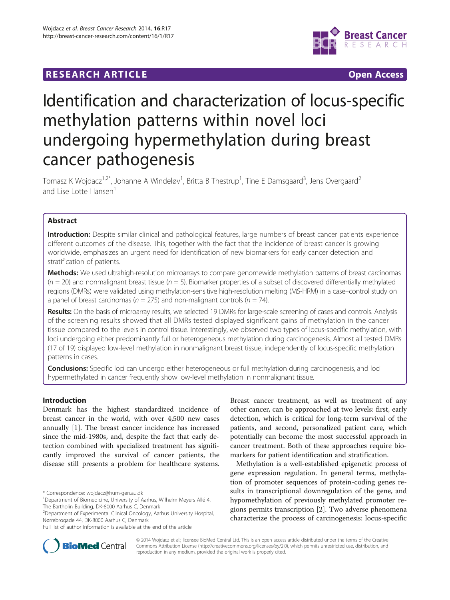# **RESEARCH ARTICLE Example 2018 12:00 Department of the CONNECTION CONNECTION CONNECTION CONNECTION**



# Identification and characterization of locus-specific methylation patterns within novel loci undergoing hypermethylation during breast cancer pathogenesis

Tomasz K Wojdacz $^{1,2^*}$ , Johanne A Windeløv $^1$ , Britta B Thestrup $^1$ , Tine E Damsgaard $^3$ , Jens Overgaard $^2$ and Lise Lotte Hansen<sup>1</sup>

# Abstract

Introduction: Despite similar clinical and pathological features, large numbers of breast cancer patients experience different outcomes of the disease. This, together with the fact that the incidence of breast cancer is growing worldwide, emphasizes an urgent need for identification of new biomarkers for early cancer detection and stratification of patients.

Methods: We used ultrahigh-resolution microarrays to compare genomewide methylation patterns of breast carcinomas  $(n = 20)$  and nonmalignant breast tissue  $(n = 5)$ . Biomarker properties of a subset of discovered differentially methylated regions (DMRs) were validated using methylation-sensitive high-resolution melting (MS-HRM) in a case–control study on a panel of breast carcinomas ( $n = 275$ ) and non-malignant controls ( $n = 74$ ).

Results: On the basis of microarray results, we selected 19 DMRs for large-scale screening of cases and controls. Analysis of the screening results showed that all DMRs tested displayed significant gains of methylation in the cancer tissue compared to the levels in control tissue. Interestingly, we observed two types of locus-specific methylation, with loci undergoing either predominantly full or heterogeneous methylation during carcinogenesis. Almost all tested DMRs (17 of 19) displayed low-level methylation in nonmalignant breast tissue, independently of locus-specific methylation patterns in cases.

Conclusions: Specific loci can undergo either heterogeneous or full methylation during carcinogenesis, and loci hypermethylated in cancer frequently show low-level methylation in nonmalignant tissue.

# Introduction

Denmark has the highest standardized incidence of breast cancer in the world, with over 4,500 new cases annually [\[1](#page-9-0)]. The breast cancer incidence has increased since the mid-1980s, and, despite the fact that early detection combined with specialized treatment has significantly improved the survival of cancer patients, the disease still presents a problem for healthcare systems.

Breast cancer treatment, as well as treatment of any other cancer, can be approached at two levels: first, early detection, which is critical for long-term survival of the patients, and second, personalized patient care, which potentially can become the most successful approach in cancer treatment. Both of these approaches require biomarkers for patient identification and stratification.

Methylation is a well-established epigenetic process of gene expression regulation. In general terms, methylation of promoter sequences of protein-coding genes results in transcriptional downregulation of the gene, and hypomethylation of previously methylated promoter regions permits transcription [\[2](#page-9-0)]. Two adverse phenomena characterize the process of carcinogenesis: locus-specific



© 2014 Wojdacz et al.; licensee BioMed Central Ltd. This is an open access article distributed under the terms of the Creative Commons Attribution License [\(http://creativecommons.org/licenses/by/2.0\)](http://creativecommons.org/licenses/by/2.0), which permits unrestricted use, distribution, and reproduction in any medium, provided the original work is properly cited.

<sup>\*</sup> Correspondence: [wojdacz@hum-gen.au.dk](mailto:wojdacz@hum-gen.au.dk) <sup>1</sup>

<sup>&</sup>lt;sup>1</sup>Department of Biomedicine, University of Aarhus, Wilhelm Meyers Allé 4, The Bartholin Building, DK-8000 Aarhus C, Denmark

<sup>2</sup> Department of Experimental Clinical Oncology, Aarhus University Hospital, Nørrebrogade 44, DK-8000 Aarhus C, Denmark

Full list of author information is available at the end of the article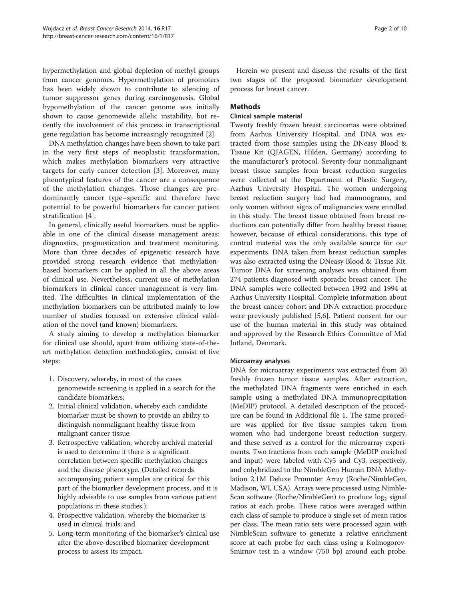<span id="page-1-0"></span>hypermethylation and global depletion of methyl groups from cancer genomes. Hypermethylation of promoters has been widely shown to contribute to silencing of tumor suppressor genes during carcinogenesis. Global hypomethylation of the cancer genome was initially shown to cause genomewide allelic instability, but recently the involvement of this process in transcriptional gene regulation has become increasingly recognized [[2\]](#page-9-0).

DNA methylation changes have been shown to take part in the very first steps of neoplastic transformation, which makes methylation biomarkers very attractive targets for early cancer detection [[3\]](#page-9-0). Moreover, many phenotypical features of the cancer are a consequence of the methylation changes. Those changes are predominantly cancer type–specific and therefore have potential to be powerful biomarkers for cancer patient stratification [\[4](#page-9-0)].

In general, clinically useful biomarkers must be applicable in one of the clinical disease management areas: diagnostics, prognostication and treatment monitoring. More than three decades of epigenetic research have provided strong research evidence that methylationbased biomarkers can be applied in all the above areas of clinical use. Nevertheless, current use of methylation biomarkers in clinical cancer management is very limited. The difficulties in clinical implementation of the methylation biomarkers can be attributed mainly to low number of studies focused on extensive clinical validation of the novel (and known) biomarkers.

A study aiming to develop a methylation biomarker for clinical use should, apart from utilizing state-of-theart methylation detection methodologies, consist of five steps:

- 1. Discovery, whereby, in most of the cases genomewide screening is applied in a search for the candidate biomarkers;
- 2. Initial clinical validation, whereby each candidate biomarker must be shown to provide an ability to distinguish nonmalignant healthy tissue from malignant cancer tissue;
- 3. Retrospective validation, whereby archival material is used to determine if there is a significant correlation between specific methylation changes and the disease phenotype. (Detailed records accompanying patient samples are critical for this part of the biomarker development process, and it is highly advisable to use samples from various patient populations in these studies.);
- 4. Prospective validation, whereby the biomarker is used in clinical trials; and
- 5. Long-term monitoring of the biomarker's clinical use after the above-described biomarker development process to assess its impact.

Herein we present and discuss the results of the first two stages of the proposed biomarker development process for breast cancer.

# **Methods**

# Clinical sample material

Twenty freshly frozen breast carcinomas were obtained from Aarhus University Hospital, and DNA was extracted from those samples using the DNeasy Blood & Tissue Kit (QIAGEN, Hilden, Germany) according to the manufacturer's protocol. Seventy-four nonmalignant breast tissue samples from breast reduction surgeries were collected at the Department of Plastic Surgery, Aarhus University Hospital. The women undergoing breast reduction surgery had had mammograms, and only women without signs of malignancies were enrolled in this study. The breast tissue obtained from breast reductions can potentially differ from healthy breast tissue; however, because of ethical considerations, this type of control material was the only available source for our experiments. DNA taken from breast reduction samples was also extracted using the DNeasy Blood & Tissue Kit. Tumor DNA for screening analyses was obtained from 274 patients diagnosed with sporadic breast cancer. The DNA samples were collected between 1992 and 1994 at Aarhus University Hospital. Complete information about the breast cancer cohort and DNA extraction procedure were previously published [[5,6\]](#page-9-0). Patient consent for our use of the human material in this study was obtained and approved by the Research Ethics Committee of Mid Jutland, Denmark.

# Microarray analyses

DNA for microarray experiments was extracted from 20 freshly frozen tumor tissue samples. After extraction, the methylated DNA fragments were enriched in each sample using a methylated DNA immunoprecipitation (MeDIP) protocol. A detailed description of the procedure can be found in Additional file [1.](#page-8-0) The same procedure was applied for five tissue samples taken from women who had undergone breast reduction surgery, and these served as a control for the microarray experiments. Two fractions from each sample (MeDIP enriched and input) were labeled with Cy5 and Cy3, respectively, and cohybridized to the NimbleGen Human DNA Methylation 2.1M Deluxe Promoter Array (Roche/NimbleGen, Madison, WI, USA). Arrays were processed using Nimble-Scan software (Roche/NimbleGen) to produce  $log<sub>2</sub>$  signal ratios at each probe. These ratios were averaged within each class of sample to produce a single set of mean ratios per class. The mean ratio sets were processed again with NimbleScan software to generate a relative enrichment score at each probe for each class using a Kolmogorov-Smirnov test in a window (750 bp) around each probe.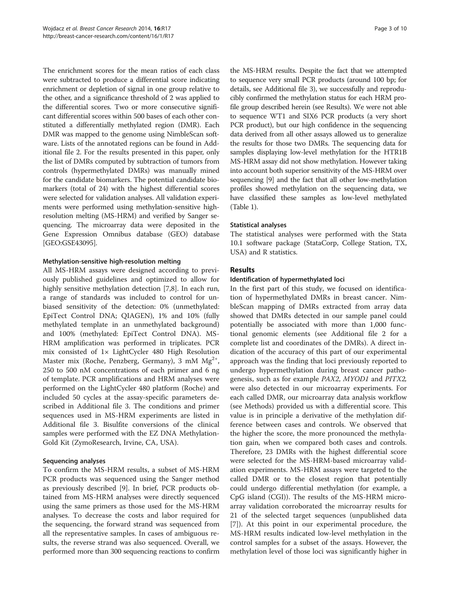The enrichment scores for the mean ratios of each class were subtracted to produce a differential score indicating enrichment or depletion of signal in one group relative to the other, and a significance threshold of 2 was applied to the differential scores. Two or more consecutive significant differential scores within 500 bases of each other constituted a differentially methylated region (DMR). Each DMR was mapped to the genome using NimbleScan software. Lists of the annotated regions can be found in Additional file [2.](#page-8-0) For the results presented in this paper, only the list of DMRs computed by subtraction of tumors from controls (hypermethylated DMRs) was manually mined for the candidate biomarkers. The potential candidate biomarkers (total of 24) with the highest differential scores were selected for validation analyses. All validation experiments were performed using methylation-sensitive highresolution melting (MS-HRM) and verified by Sanger sequencing. The microarray data were deposited in the Gene Expression Omnibus database (GEO) database [GEO:GSE43095].

# Methylation-sensitive high-resolution melting

All MS-HRM assays were designed according to previously published guidelines and optimized to allow for highly sensitive methylation detection [\[7,8](#page-9-0)]. In each run, a range of standards was included to control for unbiased sensitivity of the detection: 0% (unmethylated: EpiTect Control DNA; QIAGEN), 1% and 10% (fully methylated template in an unmethylated background) and 100% (methylated: EpiTect Control DNA). MS-HRM amplification was performed in triplicates. PCR mix consisted of 1× LightCycler 480 High Resolution Master mix (Roche, Penzberg, Germany), 3 mM Mg<sup>2+</sup>, 250 to 500 nM concentrations of each primer and 6 ng of template. PCR amplifications and HRM analyses were performed on the LightCycler 480 platform (Roche) and included 50 cycles at the assay-specific parameters described in Additional file [3](#page-8-0). The conditions and primer sequences used in MS-HRM experiments are listed in Additional file [3.](#page-8-0) Bisulfite conversions of the clinical samples were performed with the EZ DNA Methylation-Gold Kit (ZymoResearch, Irvine, CA, USA).

# Sequencing analyses

To confirm the MS-HRM results, a subset of MS-HRM PCR products was sequenced using the Sanger method as previously described [\[9](#page-9-0)]. In brief, PCR products obtained from MS-HRM analyses were directly sequenced using the same primers as those used for the MS-HRM analyses. To decrease the costs and labor required for the sequencing, the forward strand was sequenced from all the representative samples. In cases of ambiguous results, the reverse strand was also sequenced. Overall, we performed more than 300 sequencing reactions to confirm

the MS-HRM results. Despite the fact that we attempted to sequence very small PCR products (around 100 bp; for details, see Additional file [3\)](#page-8-0), we successfully and reproducibly confirmed the methylation status for each HRM profile group described herein (see Results). We were not able to sequence WT1 and SIX6 PCR products (a very short PCR product), but our high confidence in the sequencing data derived from all other assays allowed us to generalize the results for those two DMRs. The sequencing data for samples displaying low-level methylation for the HTR1B MS-HRM assay did not show methylation. However taking into account both superior sensitivity of the MS-HRM over sequencing [\[9](#page-9-0)] and the fact that all other low-methylation profiles showed methylation on the sequencing data, we have classified these samples as low-level methylated (Table [1\)](#page-3-0).

# Statistical analyses

The statistical analyses were performed with the Stata 10.1 software package (StataCorp, College Station, TX, USA) and R statistics.

# Results

# Identification of hypermethylated loci

In the first part of this study, we focused on identification of hypermethylated DMRs in breast cancer. NimbleScan mapping of DMRs extracted from array data showed that DMRs detected in our sample panel could potentially be associated with more than 1,000 functional genomic elements (see Additional file [2](#page-8-0) for a complete list and coordinates of the DMRs). A direct indication of the accuracy of this part of our experimental approach was the finding that loci previously reported to undergo hypermethylation during breast cancer pathogenesis, such as for example PAX2, MYOD1 and PITX2, were also detected in our microarray experiments. For each called DMR, our microarray data analysis workflow (see [Methods\)](#page-1-0) provided us with a differential score. This value is in principle a derivative of the methylation difference between cases and controls. We observed that the higher the score, the more pronounced the methylation gain, when we compared both cases and controls. Therefore, 23 DMRs with the highest differential score were selected for the MS-HRM-based microarray validation experiments. MS-HRM assays were targeted to the called DMR or to the closest region that potentially could undergo differential methylation (for example, a CpG island (CGI)). The results of the MS-HRM microarray validation corroborated the microarray results for 21 of the selected target sequences (unpublished data [[7\]](#page-9-0)). At this point in our experimental procedure, the MS-HRM results indicated low-level methylation in the control samples for a subset of the assays. However, the methylation level of those loci was significantly higher in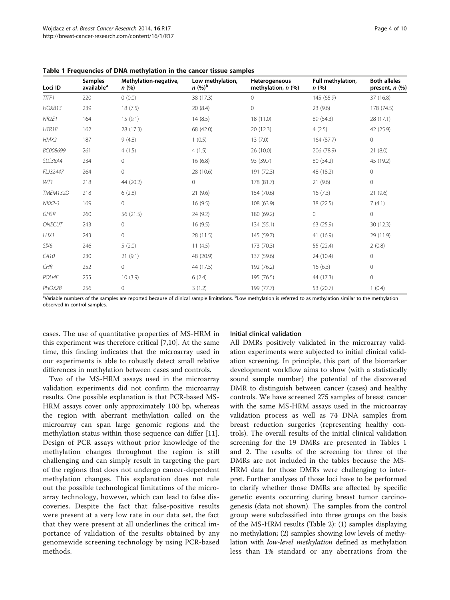| Loci ID         | <b>Samples</b><br>available <sup>a</sup> | Methylation-negative,<br>n(%) | Low methylation,<br>$n (%)^b$ | Heterogeneous<br>methylation, n (%) | Full methylation,<br>n(%) | <b>Both alleles</b><br>present, $n$ $(\%)$ |
|-----------------|------------------------------------------|-------------------------------|-------------------------------|-------------------------------------|---------------------------|--------------------------------------------|
| TITF1           | 220                                      | 0(0.0)                        | 38 (17.3)                     | $\circ$                             | 145 (65.9)                | 37 (16.8)                                  |
| HOXB13          | 239                                      | 18(7.5)                       | 20 (8.4)                      | 0                                   | 23(9.6)                   | 178 (74.5)                                 |
| <b>NR2E1</b>    | 164                                      | 15(9.1)                       | 14(8.5)                       | 18 (11.0)                           | 89 (54.3)                 | 28 (17.1)                                  |
| HTR1B           | 162                                      | 28 (17.3)                     | 68 (42.0)                     | 20 (12.3)                           | 4(2.5)                    | 42 (25.9)                                  |
| HMX2            | 187                                      | 9(4.8)                        | 1(0.5)                        | 13(7.0)                             | 164 (87.7)                | 0                                          |
| BC008699        | 261                                      | 4(1.5)                        | 4(1.5)                        | 26 (10.0)                           | 206 (78.9)                | 21(8.0)                                    |
| SLC38A4         | 234                                      | 0                             | 16(6.8)                       | 93 (39.7)                           | 80 (34.2)                 | 45 (19.2)                                  |
| FLJ32447        | 264                                      | 0                             | 28 (10.6)                     | 191 (72.3)                          | 48 (18.2)                 | 0                                          |
| WT1             | 218                                      | 44 (20.2)                     | $\circ$                       | 178 (81.7)                          | 21(9.6)                   | $\circ$                                    |
| <b>TMEM132D</b> | 218                                      | 6(2.8)                        | 21(9.6)                       | 154 (70.6)                          | 16(7.3)                   | 21(9.6)                                    |
| $NKX2-3$        | 169                                      | 0                             | 16(9.5)                       | 108 (63.9)                          | 38 (22.5)                 | 7(4.1)                                     |
| GHSR            | 260                                      | 56 (21.5)                     | 24 (9.2)                      | 180 (69.2)                          | 0                         | 0                                          |
| ONECUT          | 243                                      | $\mathbf{0}$                  | 16(9.5)                       | 134 (55.1)                          | 63 (25.9)                 | 30(12.3)                                   |
| LHX1            | 243                                      | 0                             | 28 (11.5)                     | 145 (59.7)                          | 41 (16.9)                 | 29 (11.9)                                  |
| SIX6            | 246                                      | 5(2.0)                        | 11(4.5)                       | 173 (70.3)                          | 55 (22.4)                 | 2(0.8)                                     |
| CA10            | 230                                      | 21(9.1)                       | 48 (20.9)                     | 137 (59.6)                          | 24 (10.4)                 | 0                                          |
| <b>CHR</b>      | 252                                      | 0                             | 44 (17.5)                     | 192 (76.2)                          | 16(6.3)                   | 0                                          |
| POU4F           | 255                                      | 10(3.9)                       | 6(2.4)                        | 195 (76.5)                          | 44 (17.3)                 | $\circ$                                    |
| PHOX2B          | 256                                      | 0                             | 3(1.2)                        | 199 (77.7)                          | 53 (20.7)                 | 1(0.4)                                     |

<span id="page-3-0"></span>Table 1 Frequencies of DNA methylation in the cancer tissue samples

<sup>a</sup>Variable numbers of the samples are reported because of clinical sample limitations. <sup>b</sup>Low methylation is referred to as methylation similar to the methylation observed in control samples.

cases. The use of quantitative properties of MS-HRM in this experiment was therefore critical [[7,10\]](#page-9-0). At the same time, this finding indicates that the microarray used in our experiments is able to robustly detect small relative differences in methylation between cases and controls.

Two of the MS-HRM assays used in the microarray validation experiments did not confirm the microarray results. One possible explanation is that PCR-based MS-HRM assays cover only approximately 100 bp, whereas the region with aberrant methylation called on the microarray can span large genomic regions and the methylation status within those sequence can differ [\[11](#page-9-0)]. Design of PCR assays without prior knowledge of the methylation changes throughout the region is still challenging and can simply result in targeting the part of the regions that does not undergo cancer-dependent methylation changes. This explanation does not rule out the possible technological limitations of the microarray technology, however, which can lead to false discoveries. Despite the fact that false-positive results were present at a very low rate in our data set, the fact that they were present at all underlines the critical importance of validation of the results obtained by any genomewide screening technology by using PCR-based methods.

#### Initial clinical validation

All DMRs positively validated in the microarray validation experiments were subjected to initial clinical validation screening. In principle, this part of the biomarker development workflow aims to show (with a statistically sound sample number) the potential of the discovered DMR to distinguish between cancer (cases) and healthy controls. We have screened 275 samples of breast cancer with the same MS-HRM assays used in the microarray validation process as well as 74 DNA samples from breast reduction surgeries (representing healthy controls). The overall results of the initial clinical validation screening for the 19 DMRs are presented in Tables 1 and [2](#page-4-0). The results of the screening for three of the DMRs are not included in the tables because the MS-HRM data for those DMRs were challenging to interpret. Further analyses of those loci have to be performed to clarify whether those DMRs are affected by specific genetic events occurring during breast tumor carcinogenesis (data not shown). The samples from the control group were subclassified into three groups on the basis of the MS-HRM results (Table [2](#page-4-0)): (1) samples displaying no methylation; (2) samples showing low levels of methylation with low-level methylation defined as methylation less than 1% standard or any aberrations from the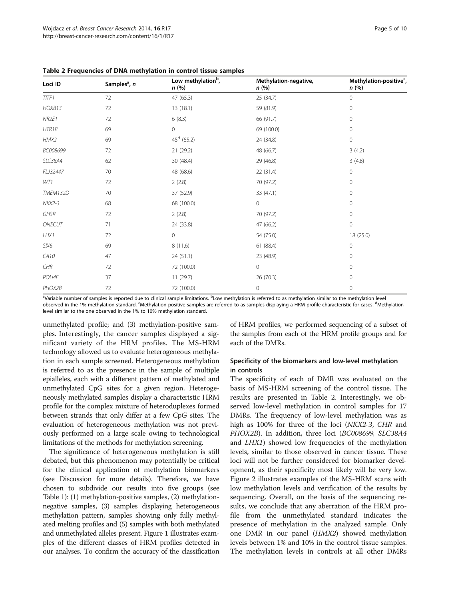| Loci ID  | Samples <sup>a</sup> , n | Low methylation <sup>b</sup> ,<br>n (%) | Methylation-negative,<br>n (%) | Methylation-positive <sup>c</sup> ,<br>n (%) |
|----------|--------------------------|-----------------------------------------|--------------------------------|----------------------------------------------|
| TITF1    | 72                       | 47 (65.3)                               | 25 (34.7)                      | $\circ$                                      |
| HOXB13   | 72                       | 13 (18.1)                               | 59 (81.9)                      | $\circ$                                      |
| NR2E1    | 72                       | 6(8.3)                                  | 66 (91.7)                      | $\circ$                                      |
| HTR1B    | 69                       | $\circ$                                 | 69 (100.0)                     | $\mathbf{0}$                                 |
| HMX2     | 69                       | $45^d$ (65.2)                           | 24 (34.8)                      | $\circ$                                      |
| BC008699 | 72                       | 21 (29.2)                               | 48 (66.7)                      | 3(4.2)                                       |
| SLC38A4  | 62                       | 30 (48.4)                               | 29 (46.8)                      | 3(4.8)                                       |
| FLJ32447 | 70                       | 48 (68.6)                               | 22 (31.4)                      | $\circ$                                      |
| WT1      | 72                       | 2(2.8)                                  | 70 (97.2)                      | $\mathbf{0}$                                 |
| TMEM132D | 70                       | 37 (52.9)                               | 33 (47.1)                      | $\circ$                                      |
| $NKX2-3$ | 68                       | 68 (100.0)                              | $\mathbf 0$                    | $\circ$                                      |
| GHSR     | 72                       | 2(2.8)                                  | 70 (97.2)                      | $\circ$                                      |
| ONECUT   | 71                       | 24 (33.8)                               | 47 (66.2)                      | $\circ$                                      |
| LHX1     | 72                       | $\Omega$                                | 54 (75.0)                      | 18 (25.0)                                    |
| SIX6     | 69                       | 8 (11.6)                                | 61 (88.4)                      | $\circ$                                      |
| CA10     | 47                       | 24 (51.1)                               | 23 (48.9)                      | $\circ$                                      |
| CHR      | 72                       | 72 (100.0)                              | $\mathbf 0$                    | $\circ$                                      |
| POU4F    | 37                       | 11(29.7)                                | 26 (70.3)                      | $\circ$                                      |
| PHOX2B   | 72                       | 72 (100.0)                              | $\mathbf 0$                    | $\circ$                                      |

<span id="page-4-0"></span>Table 2 Frequencies of DNA methylation in control tissue samples

<sup>a</sup>Variable number of samples is reported due to clinical sample limitations. <sup>b</sup>Low methylation is referred to as methylation similar to the methylation level observed in the 1% methylation standard. <sup>c</sup>Methylation-positive samples are referred to as samples displaying a HRM profile characteristic for cases. <sup>d</sup>Methylation level similar to the one observed in the 1% to 10% methylation standard.

unmethylated profile; and (3) methylation-positive samples. Interestingly, the cancer samples displayed a significant variety of the HRM profiles. The MS-HRM technology allowed us to evaluate heterogeneous methylation in each sample screened. Heterogeneous methylation is referred to as the presence in the sample of multiple epialleles, each with a different pattern of methylated and unmethylated CpG sites for a given region. Heterogeneously methylated samples display a characteristic HRM profile for the complex mixture of heteroduplexes formed between strands that only differ at a few CpG sites. The evaluation of heterogeneous methylation was not previously performed on a large scale owing to technological limitations of the methods for methylation screening.

The significance of heterogeneous methylation is still debated, but this phenomenon may potentially be critical for the clinical application of methylation biomarkers (see Discussion for more details). Therefore, we have chosen to subdivide our results into five groups (see Table [1\)](#page-3-0): (1) methylation-positive samples, (2) methylationnegative samples, (3) samples displaying heterogeneous methylation pattern, samples showing only fully methylated melting profiles and (5) samples with both methylated and unmethylated alleles present. Figure [1](#page-5-0) illustrates examples of the different classes of HRM profiles detected in our analyses. To confirm the accuracy of the classification

of HRM profiles, we performed sequencing of a subset of the samples from each of the HRM profile groups and for each of the DMRs.

# Specificity of the biomarkers and low-level methylation in controls

The specificity of each of DMR was evaluated on the basis of MS-HRM screening of the control tissue. The results are presented in Table 2. Interestingly, we observed low-level methylation in control samples for 17 DMRs. The frequency of low-level methylation was as high as 100% for three of the loci (NKX2-3, CHR and PHOX2B). In addition, three loci (BC008699, SLC38A4 and *LHX1*) showed low frequencies of the methylation levels, similar to those observed in cancer tissue. These loci will not be further considered for biomarker development, as their specificity most likely will be very low. Figure [2](#page-6-0) illustrates examples of the MS-HRM scans with low methylation levels and verification of the results by sequencing. Overall, on the basis of the sequencing results, we conclude that any aberration of the HRM profile from the unmethylated standard indicates the presence of methylation in the analyzed sample. Only one DMR in our panel (HMX2) showed methylation levels between 1% and 10% in the control tissue samples. The methylation levels in controls at all other DMRs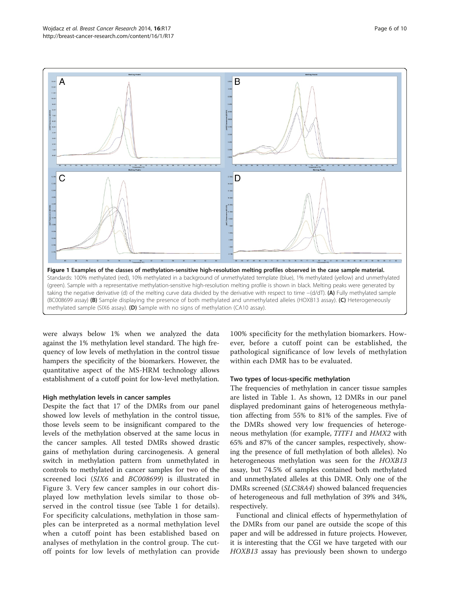<span id="page-5-0"></span>

were always below 1% when we analyzed the data against the 1% methylation level standard. The high frequency of low levels of methylation in the control tissue hampers the specificity of the biomarkers. However, the quantitative aspect of the MS-HRM technology allows establishment of a cutoff point for low-level methylation.

#### High methylation levels in cancer samples

Despite the fact that 17 of the DMRs from our panel showed low levels of methylation in the control tissue, those levels seem to be insignificant compared to the levels of the methylation observed at the same locus in the cancer samples. All tested DMRs showed drastic gains of methylation during carcinogenesis. A general switch in methylation pattern from unmethylated in controls to methylated in cancer samples for two of the screened loci (SIX6 and BC008699) is illustrated in Figure [3.](#page-7-0) Very few cancer samples in our cohort displayed low methylation levels similar to those observed in the control tissue (see Table [1](#page-3-0) for details). For specificity calculations, methylation in those samples can be interpreted as a normal methylation level when a cutoff point has been established based on analyses of methylation in the control group. The cutoff points for low levels of methylation can provide

100% specificity for the methylation biomarkers. However, before a cutoff point can be established, the pathological significance of low levels of methylation within each DMR has to be evaluated.

#### Two types of locus-specific methylation

The frequencies of methylation in cancer tissue samples are listed in Table [1](#page-3-0). As shown, 12 DMRs in our panel displayed predominant gains of heterogeneous methylation affecting from 55% to 81% of the samples. Five of the DMRs showed very low frequencies of heterogeneous methylation (for example, TITF1 and HMX2 with 65% and 87% of the cancer samples, respectively, showing the presence of full methylation of both alleles). No heterogeneous methylation was seen for the *HOXB13* assay, but 74.5% of samples contained both methylated and unmethylated alleles at this DMR. Only one of the DMRs screened (SLC38A4) showed balanced frequencies of heterogeneous and full methylation of 39% and 34%, respectively.

Functional and clinical effects of hypermethylation of the DMRs from our panel are outside the scope of this paper and will be addressed in future projects. However, it is interesting that the CGI we have targeted with our HOXB13 assay has previously been shown to undergo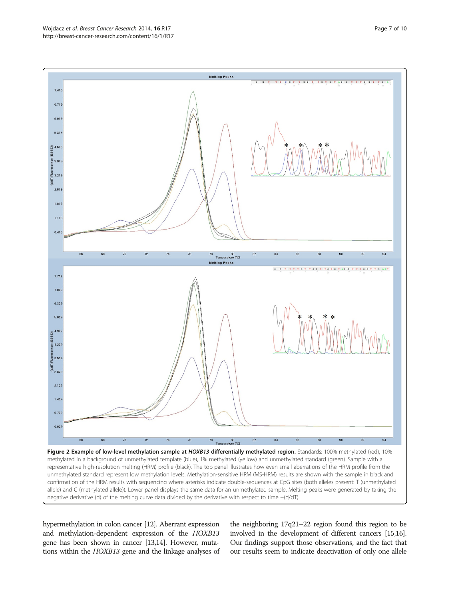<span id="page-6-0"></span>

hypermethylation in colon cancer [\[12](#page-9-0)]. Aberrant expression and methylation-dependent expression of the HOXB13 gene has been shown in cancer [\[13,14](#page-9-0)]. However, mutations within the HOXB13 gene and the linkage analyses of the neighboring 17q21–22 region found this region to be involved in the development of different cancers [[15,16](#page-9-0)]. Our findings support those observations, and the fact that our results seem to indicate deactivation of only one allele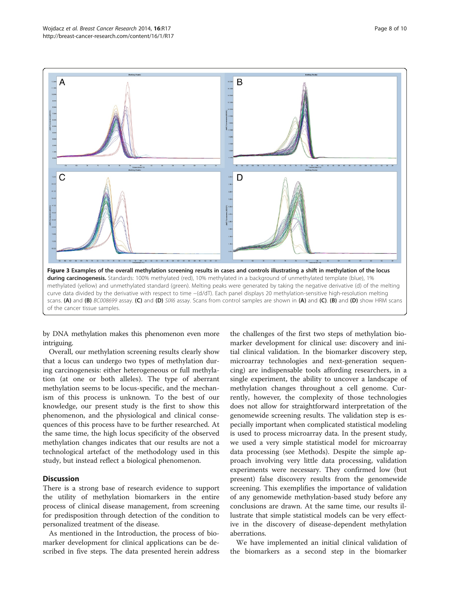<span id="page-7-0"></span>

by DNA methylation makes this phenomenon even more intriguing.

Overall, our methylation screening results clearly show that a locus can undergo two types of methylation during carcinogenesis: either heterogeneous or full methylation (at one or both alleles). The type of aberrant methylation seems to be locus-specific, and the mechanism of this process is unknown. To the best of our knowledge, our present study is the first to show this phenomenon, and the physiological and clinical consequences of this process have to be further researched. At the same time, the high locus specificity of the observed methylation changes indicates that our results are not a technological artefact of the methodology used in this study, but instead reflect a biological phenomenon.

#### Discussion

There is a strong base of research evidence to support the utility of methylation biomarkers in the entire process of clinical disease management, from screening for predisposition through detection of the condition to personalized treatment of the disease.

As mentioned in the Introduction, the process of biomarker development for clinical applications can be described in five steps. The data presented herein address

the challenges of the first two steps of methylation biomarker development for clinical use: discovery and initial clinical validation. In the biomarker discovery step, microarray technologies and next-generation sequencing) are indispensable tools affording researchers, in a single experiment, the ability to uncover a landscape of methylation changes throughout a cell genome. Currently, however, the complexity of those technologies does not allow for straightforward interpretation of the genomewide screening results. The validation step is especially important when complicated statistical modeling is used to process microarray data. In the present study, we used a very simple statistical model for microarray data processing (see [Methods\)](#page-1-0). Despite the simple approach involving very little data processing, validation experiments were necessary. They confirmed low (but present) false discovery results from the genomewide screening. This exemplifies the importance of validation of any genomewide methylation-based study before any conclusions are drawn. At the same time, our results illustrate that simple statistical models can be very effective in the discovery of disease-dependent methylation aberrations.

We have implemented an initial clinical validation of the biomarkers as a second step in the biomarker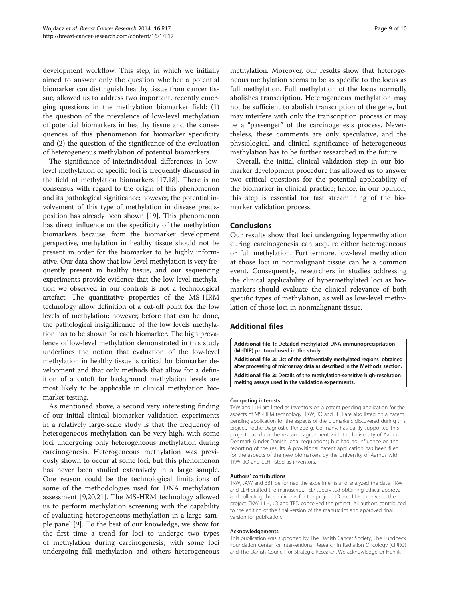<span id="page-8-0"></span>development workflow. This step, in which we initially aimed to answer only the question whether a potential biomarker can distinguish healthy tissue from cancer tissue, allowed us to address two important, recently emerging questions in the methylation biomarker field: (1) the question of the prevalence of low-level methylation of potential biomarkers in healthy tissue and the consequences of this phenomenon for biomarker specificity and (2) the question of the significance of the evaluation of heterogeneous methylation of potential biomarkers.

The significance of interindividual differences in lowlevel methylation of specific loci is frequently discussed in the field of methylation biomarkers [\[17,18](#page-9-0)]. There is no consensus with regard to the origin of this phenomenon and its pathological significance; however, the potential involvement of this type of methylation in disease predisposition has already been shown [\[19](#page-9-0)]. This phenomenon has direct influence on the specificity of the methylation biomarkers because, from the biomarker development perspective, methylation in healthy tissue should not be present in order for the biomarker to be highly informative. Our data show that low-level methylation is very frequently present in healthy tissue, and our sequencing experiments provide evidence that the low-level methylation we observed in our controls is not a technological artefact. The quantitative properties of the MS-HRM technology allow definition of a cut-off point for the low levels of methylation; however, before that can be done, the pathological insignificance of the low levels methylation has to be shown for each biomarker. The high prevalence of low-level methylation demonstrated in this study underlines the notion that evaluation of the low-level methylation in healthy tissue is critical for biomarker development and that only methods that allow for a definition of a cutoff for background methylation levels are most likely to be applicable in clinical methylation biomarker testing.

As mentioned above, a second very interesting finding of our initial clinical biomarker validation experiments in a relatively large-scale study is that the frequency of heterogeneous methylation can be very high, with some loci undergoing only heterogeneous methylation during carcinogenesis. Heterogeneous methylation was previously shown to occur at some loci, but this phenomenon has never been studied extensively in a large sample. One reason could be the technological limitations of some of the methodologies used for DNA methylation assessment [[9,20,21\]](#page-9-0). The MS-HRM technology allowed us to perform methylation screening with the capability of evaluating heterogeneous methylation in a large sample panel [\[9](#page-9-0)]. To the best of our knowledge, we show for the first time a trend for loci to undergo two types of methylation during carcinogenesis, with some loci undergoing full methylation and others heterogeneous

methylation. Moreover, our results show that heterogeneous methylation seems to be as specific to the locus as full methylation. Full methylation of the locus normally abolishes transcription. Heterogeneous methylation may not be sufficient to abolish transcription of the gene, but may interfere with only the transcription process or may be a "passenger" of the carcinogenesis process. Nevertheless, these comments are only speculative, and the physiological and clinical significance of heterogeneous methylation has to be further researched in the future.

Overall, the initial clinical validation step in our biomarker development procedure has allowed us to answer two critical questions for the potential applicability of the biomarker in clinical practice; hence, in our opinion, this step is essential for fast streamlining of the biomarker validation process.

# Conclusions

Our results show that loci undergoing hypermethylation during carcinogenesis can acquire either heterogeneous or full methylation. Furthermore, low-level methylation at those loci in nonmalignant tissue can be a common event. Consequently, researchers in studies addressing the clinical applicability of hypermethylated loci as biomarkers should evaluate the clinical relevance of both specific types of methylation, as well as low-level methylation of those loci in nonmalignant tissue.

# Additional files

[Additional file 1:](http://www.biomedcentral.com/content/supplementary/bcr3612-S1.doc) Detailed methylated DNA immunoprecipitation (MeDIP) protocol used in the study.

[Additional file 2:](http://www.biomedcentral.com/content/supplementary/bcr3612-S2.xlsx) List of the differentially methylated regions obtained after processing of microarray data as described in the [Methods](#page-1-0) section. [Additional file 3:](http://www.biomedcentral.com/content/supplementary/bcr3612-S3.doc) Details of the methylation-sensitive high-resolution melting assays used in the validation experiments.

#### Competing interests

TKW and LLH are listed as inventors on a patent pending application for the aspects of MS-HRM technology. TKW, JO and LLH are also listed on a patent pending application for the aspects of the biomarkers discovered during this project. Roche Diagnostic, Penzberg, Germany, has partly supported this project based on the research agreement with the University of Aarhus, Denmark (under Danish legal regulations) but had no influence on the reporting of the results. A provisional patent application has been filed for the aspects of the new biomarkers by the University of Aarhus with TKW, JO and LLH listed as inventors.

#### Authors' contributions

TKW, JAW and BBT performed the experiments and analyzed the data. TKW and LLH drafted the manuscript. TED supervised obtaining ethical approval and collecting the specimens for the project. JO and LLH supervised the project. TKW, LLH, JO and TED conceived the project. All authors contributed to the editing of the final version of the manuscript and approved final version for publication.

#### Acknowledgements

This publication was supported by The Danish Cancer Society, The Lundbeck Foundation Center for Interventional Research in Radiation Oncology (CIRRO) and The Danish Council for Strategic Research. We acknowledge Dr Henrik